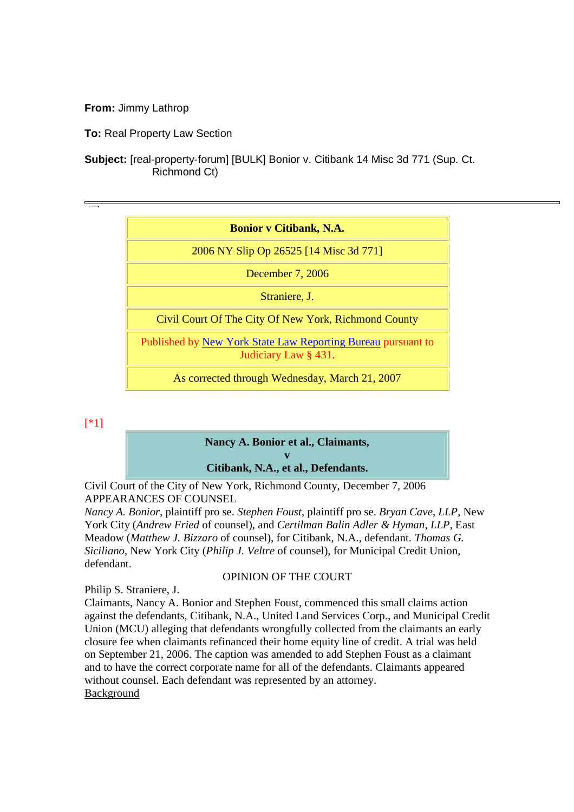## **Bonior v Citibank, N.A.**

2006 NY Slip Op 26525 [14 Misc 3d 771]

December 7, 2006

Straniere, J.

Civil Court Of The City Of New York, Richmond County

Published by New York State Law Reporting Bureau pursuant to Judiciary Law § 431.

As corrected through Wednesday, March 21, 2007

# [\*1]

## **Nancy A. Bonior et al., Claimants,**

**v Citibank, N.A., et al., Defendants.**

Civil Court of the City of New York, Richmond County, December 7, 2006 APPEARANCES OF COUNSEL

*Nancy A. Bonior*, plaintiff pro se. *Stephen Foust*, plaintiff pro se. *Bryan Cave*, *LLP*, New York City (*Andrew Fried* of counsel), and *Certilman Balin Adler & Hyman*, *LLP*, East Meadow (*Matthew J. Bizzaro* of counsel), for Citibank, N.A., defendant. *Thomas G. Siciliano*, New York City (*Philip J. Veltre* of counsel), for Municipal Credit Union, defendant.

## OPINION OF THE COURT

Philip S. Straniere, J.

Claimants, Nancy A. Bonior and Stephen Foust, commenced this small claims action against the defendants, Citibank, N.A., United Land Services Corp., and Municipal Credit Union (MCU) alleging that defendants wrongfully collected from the claimants an early closure fee when claimants refinanced their home equity line of credit. A trial was held on September 21, 2006. The caption was amended to add Stephen Foust as a claimant and to have the correct corporate name for all of the defendants. Claimants appeared without counsel. Each defendant was represented by an attorney. **Background**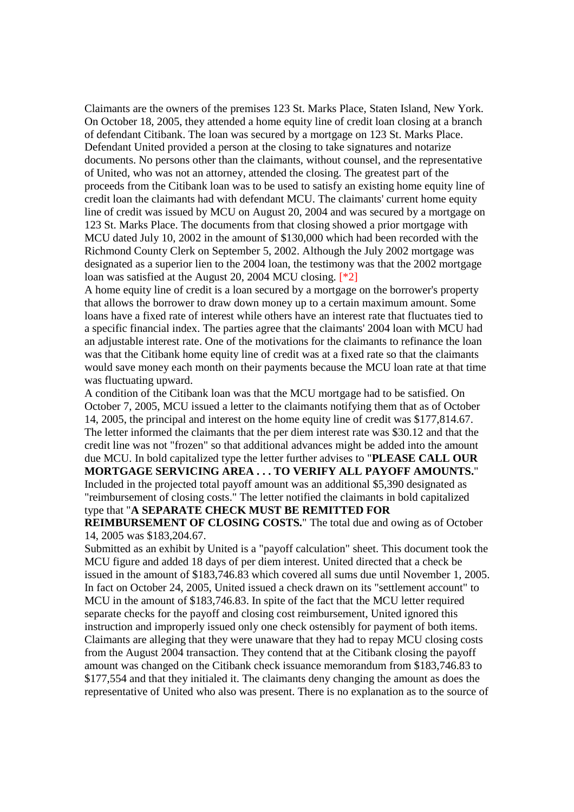Claimants are the owners of the premises 123 St. Marks Place, Staten Island, New York. On October 18, 2005, they attended a home equity line of credit loan closing at a branch of defendant Citibank. The loan was secured by a mortgage on 123 St. Marks Place. Defendant United provided a person at the closing to take signatures and notarize documents. No persons other than the claimants, without counsel, and the representative of United, who was not an attorney, attended the closing. The greatest part of the proceeds from the Citibank loan was to be used to satisfy an existing home equity line of credit loan the claimants had with defendant MCU. The claimants' current home equity line of credit was issued by MCU on August 20, 2004 and was secured by a mortgage on 123 St. Marks Place. The documents from that closing showed a prior mortgage with MCU dated July 10, 2002 in the amount of \$130,000 which had been recorded with the Richmond County Clerk on September 5, 2002. Although the July 2002 mortgage was designated as a superior lien to the 2004 loan, the testimony was that the 2002 mortgage loan was satisfied at the August 20, 2004 MCU closing. [\*2]

A home equity line of credit is a loan secured by a mortgage on the borrower's property that allows the borrower to draw down money up to a certain maximum amount. Some loans have a fixed rate of interest while others have an interest rate that fluctuates tied to a specific financial index. The parties agree that the claimants' 2004 loan with MCU had an adjustable interest rate. One of the motivations for the claimants to refinance the loan was that the Citibank home equity line of credit was at a fixed rate so that the claimants would save money each month on their payments because the MCU loan rate at that time was fluctuating upward.

A condition of the Citibank loan was that the MCU mortgage had to be satisfied. On October 7, 2005, MCU issued a letter to the claimants notifying them that as of October 14, 2005, the principal and interest on the home equity line of credit was \$177,814.67. The letter informed the claimants that the per diem interest rate was \$30.12 and that the credit line was not "frozen" so that additional advances might be added into the amount due MCU. In bold capitalized type the letter further advises to "**PLEASE CALL OUR MORTGAGE SERVICING AREA . . . TO VERIFY ALL PAYOFF AMOUNTS.**" Included in the projected total payoff amount was an additional \$5,390 designated as "reimbursement of closing costs." The letter notified the claimants in bold capitalized type that "**A SEPARATE CHECK MUST BE REMITTED FOR**

**REIMBURSEMENT OF CLOSING COSTS.**" The total due and owing as of October 14, 2005 was \$183,204.67.

Submitted as an exhibit by United is a "payoff calculation" sheet. This document took the MCU figure and added 18 days of per diem interest. United directed that a check be issued in the amount of \$183,746.83 which covered all sums due until November 1, 2005. In fact on October 24, 2005, United issued a check drawn on its "settlement account" to MCU in the amount of \$183,746.83. In spite of the fact that the MCU letter required separate checks for the payoff and closing cost reimbursement, United ignored this instruction and improperly issued only one check ostensibly for payment of both items. Claimants are alleging that they were unaware that they had to repay MCU closing costs from the August 2004 transaction. They contend that at the Citibank closing the payoff amount was changed on the Citibank check issuance memorandum from \$183,746.83 to \$177,554 and that they initialed it. The claimants deny changing the amount as does the representative of United who also was present. There is no explanation as to the source of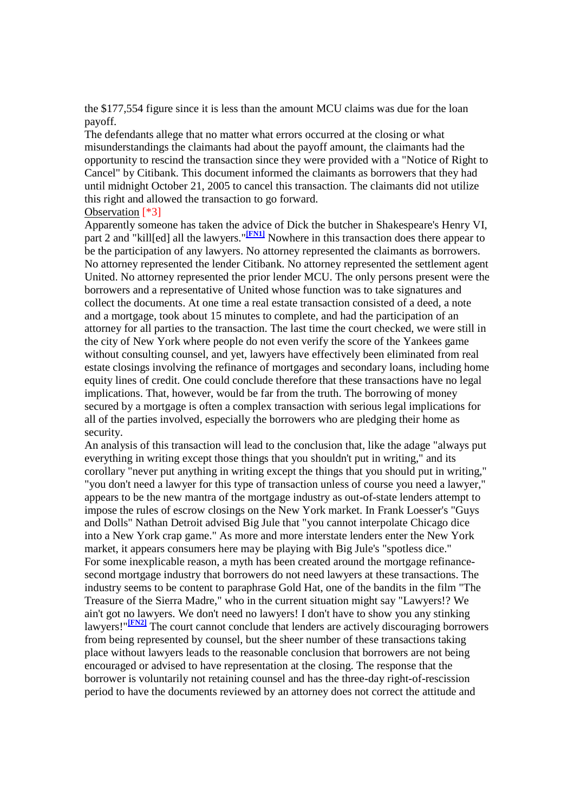the \$177,554 figure since it is less than the amount MCU claims was due for the loan payoff.

The defendants allege that no matter what errors occurred at the closing or what misunderstandings the claimants had about the payoff amount, the claimants had the opportunity to rescind the transaction since they were provided with a "Notice of Right to Cancel" by Citibank. This document informed the claimants as borrowers that they had until midnight October 21, 2005 to cancel this transaction. The claimants did not utilize this right and allowed the transaction to go forward.

#### Observation [\*3]

Apparently someone has taken the advice of Dick the butcher in Shakespeare's Henry VI, part 2 and "kill[ed] all the lawyers."<sup>[FN1]</sup> Nowhere in this transaction does there appear to be the participation of any lawyers. No attorney represented the claimants as borrowers. No attorney represented the lender Citibank. No attorney represented the settlement agent United. No attorney represented the prior lender MCU. The only persons present were the borrowers and a representative of United whose function was to take signatures and collect the documents. At one time a real estate transaction consisted of a deed, a note and a mortgage, took about 15 minutes to complete, and had the participation of an attorney for all parties to the transaction. The last time the court checked, we were still in the city of New York where people do not even verify the score of the Yankees game without consulting counsel, and yet, lawyers have effectively been eliminated from real estate closings involving the refinance of mortgages and secondary loans, including home equity lines of credit. One could conclude therefore that these transactions have no legal implications. That, however, would be far from the truth. The borrowing of money secured by a mortgage is often a complex transaction with serious legal implications for all of the parties involved, especially the borrowers who are pledging their home as security.

An analysis of this transaction will lead to the conclusion that, like the adage "always put everything in writing except those things that you shouldn't put in writing," and its corollary "never put anything in writing except the things that you should put in writing," "you don't need a lawyer for this type of transaction unless of course you need a lawyer," appears to be the new mantra of the mortgage industry as out-of-state lenders attempt to impose the rules of escrow closings on the New York market. In Frank Loesser's "Guys and Dolls" Nathan Detroit advised Big Jule that "you cannot interpolate Chicago dice into a New York crap game." As more and more interstate lenders enter the New York market, it appears consumers here may be playing with Big Jule's "spotless dice." For some inexplicable reason, a myth has been created around the mortgage refinancesecond mortgage industry that borrowers do not need lawyers at these transactions. The industry seems to be content to paraphrase Gold Hat, one of the bandits in the film "The Treasure of the Sierra Madre," who in the current situation might say "Lawyers!? We ain't got no lawyers. We don't need no lawyers! I don't have to show you any stinking lawyers!"**[FN2]** The court cannot conclude that lenders are actively discouraging borrowers from being represented by counsel, but the sheer number of these transactions taking place without lawyers leads to the reasonable conclusion that borrowers are not being encouraged or advised to have representation at the closing. The response that the borrower is voluntarily not retaining counsel and has the three-day right-of-rescission period to have the documents reviewed by an attorney does not correct the attitude and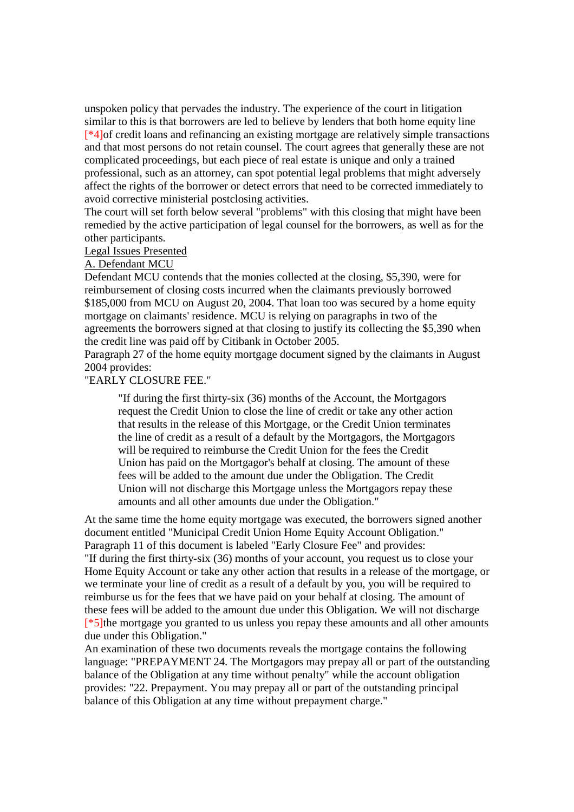unspoken policy that pervades the industry. The experience of the court in litigation similar to this is that borrowers are led to believe by lenders that both home equity line [\*4]of credit loans and refinancing an existing mortgage are relatively simple transactions and that most persons do not retain counsel. The court agrees that generally these are not complicated proceedings, but each piece of real estate is unique and only a trained professional, such as an attorney, can spot potential legal problems that might adversely affect the rights of the borrower or detect errors that need to be corrected immediately to avoid corrective ministerial postclosing activities.

The court will set forth below several "problems" with this closing that might have been remedied by the active participation of legal counsel for the borrowers, as well as for the other participants.

### Legal Issues Presented

#### A. Defendant MCU

Defendant MCU contends that the monies collected at the closing, \$5,390, were for reimbursement of closing costs incurred when the claimants previously borrowed \$185,000 from MCU on August 20, 2004. That loan too was secured by a home equity mortgage on claimants' residence. MCU is relying on paragraphs in two of the agreements the borrowers signed at that closing to justify its collecting the \$5,390 when the credit line was paid off by Citibank in October 2005.

Paragraph 27 of the home equity mortgage document signed by the claimants in August 2004 provides:

### "EARLY CLOSURE FEE."

"If during the first thirty-six (36) months of the Account, the Mortgagors request the Credit Union to close the line of credit or take any other action that results in the release of this Mortgage, or the Credit Union terminates the line of credit as a result of a default by the Mortgagors, the Mortgagors will be required to reimburse the Credit Union for the fees the Credit Union has paid on the Mortgagor's behalf at closing. The amount of these fees will be added to the amount due under the Obligation. The Credit Union will not discharge this Mortgage unless the Mortgagors repay these amounts and all other amounts due under the Obligation."

At the same time the home equity mortgage was executed, the borrowers signed another document entitled "Municipal Credit Union Home Equity Account Obligation." Paragraph 11 of this document is labeled "Early Closure Fee" and provides: "If during the first thirty-six (36) months of your account, you request us to close your Home Equity Account or take any other action that results in a release of the mortgage, or we terminate your line of credit as a result of a default by you, you will be required to reimburse us for the fees that we have paid on your behalf at closing. The amount of these fees will be added to the amount due under this Obligation. We will not discharge [\*5]the mortgage you granted to us unless you repay these amounts and all other amounts due under this Obligation."

An examination of these two documents reveals the mortgage contains the following language: "PREPAYMENT 24. The Mortgagors may prepay all or part of the outstanding balance of the Obligation at any time without penalty" while the account obligation provides: "22. Prepayment. You may prepay all or part of the outstanding principal balance of this Obligation at any time without prepayment charge."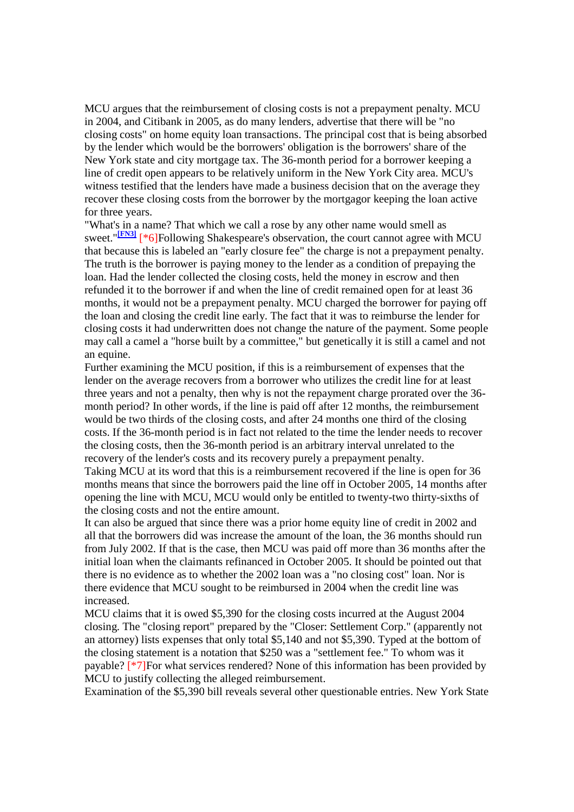MCU argues that the reimbursement of closing costs is not a prepayment penalty. MCU in 2004, and Citibank in 2005, as do many lenders, advertise that there will be "no closing costs" on home equity loan transactions. The principal cost that is being absorbed by the lender which would be the borrowers' obligation is the borrowers' share of the New York state and city mortgage tax. The 36-month period for a borrower keeping a line of credit open appears to be relatively uniform in the New York City area. MCU's witness testified that the lenders have made a business decision that on the average they recover these closing costs from the borrower by the mortgagor keeping the loan active for three years.

"What's in a name? That which we call a rose by any other name would smell as sweet."**[FN3]** [\*6]Following Shakespeare's observation, the court cannot agree with MCU that because this is labeled an "early closure fee" the charge is not a prepayment penalty. The truth is the borrower is paying money to the lender as a condition of prepaying the loan. Had the lender collected the closing costs, held the money in escrow and then refunded it to the borrower if and when the line of credit remained open for at least 36 months, it would not be a prepayment penalty. MCU charged the borrower for paying off the loan and closing the credit line early. The fact that it was to reimburse the lender for closing costs it had underwritten does not change the nature of the payment. Some people may call a camel a "horse built by a committee," but genetically it is still a camel and not an equine.

Further examining the MCU position, if this is a reimbursement of expenses that the lender on the average recovers from a borrower who utilizes the credit line for at least three years and not a penalty, then why is not the repayment charge prorated over the 36 month period? In other words, if the line is paid off after 12 months, the reimbursement would be two thirds of the closing costs, and after 24 months one third of the closing costs. If the 36-month period is in fact not related to the time the lender needs to recover the closing costs, then the 36-month period is an arbitrary interval unrelated to the recovery of the lender's costs and its recovery purely a prepayment penalty.

Taking MCU at its word that this is a reimbursement recovered if the line is open for 36 months means that since the borrowers paid the line off in October 2005, 14 months after opening the line with MCU, MCU would only be entitled to twenty-two thirty-sixths of the closing costs and not the entire amount.

It can also be argued that since there was a prior home equity line of credit in 2002 and all that the borrowers did was increase the amount of the loan, the 36 months should run from July 2002. If that is the case, then MCU was paid off more than 36 months after the initial loan when the claimants refinanced in October 2005. It should be pointed out that there is no evidence as to whether the 2002 loan was a "no closing cost" loan. Nor is there evidence that MCU sought to be reimbursed in 2004 when the credit line was increased.

MCU claims that it is owed \$5,390 for the closing costs incurred at the August 2004 closing. The "closing report" prepared by the "Closer: Settlement Corp." (apparently not an attorney) lists expenses that only total \$5,140 and not \$5,390. Typed at the bottom of the closing statement is a notation that \$250 was a "settlement fee." To whom was it payable? [\*7]For what services rendered? None of this information has been provided by MCU to justify collecting the alleged reimbursement.

Examination of the \$5,390 bill reveals several other questionable entries. New York State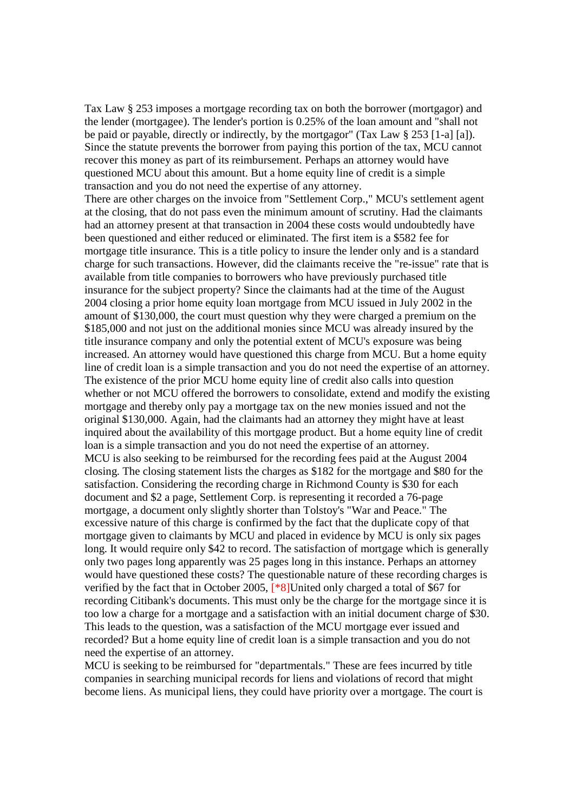Tax Law § 253 imposes a mortgage recording tax on both the borrower (mortgagor) and the lender (mortgagee). The lender's portion is 0.25% of the loan amount and "shall not be paid or payable, directly or indirectly, by the mortgagor" (Tax Law § 253 [1-a] [a]). Since the statute prevents the borrower from paying this portion of the tax, MCU cannot recover this money as part of its reimbursement. Perhaps an attorney would have questioned MCU about this amount. But a home equity line of credit is a simple transaction and you do not need the expertise of any attorney.

There are other charges on the invoice from "Settlement Corp.," MCU's settlement agent at the closing, that do not pass even the minimum amount of scrutiny. Had the claimants had an attorney present at that transaction in 2004 these costs would undoubtedly have been questioned and either reduced or eliminated. The first item is a \$582 fee for mortgage title insurance. This is a title policy to insure the lender only and is a standard charge for such transactions. However, did the claimants receive the "re-issue" rate that is available from title companies to borrowers who have previously purchased title insurance for the subject property? Since the claimants had at the time of the August 2004 closing a prior home equity loan mortgage from MCU issued in July 2002 in the amount of \$130,000, the court must question why they were charged a premium on the \$185,000 and not just on the additional monies since MCU was already insured by the title insurance company and only the potential extent of MCU's exposure was being increased. An attorney would have questioned this charge from MCU. But a home equity line of credit loan is a simple transaction and you do not need the expertise of an attorney. The existence of the prior MCU home equity line of credit also calls into question whether or not MCU offered the borrowers to consolidate, extend and modify the existing mortgage and thereby only pay a mortgage tax on the new monies issued and not the original \$130,000. Again, had the claimants had an attorney they might have at least inquired about the availability of this mortgage product. But a home equity line of credit loan is a simple transaction and you do not need the expertise of an attorney. MCU is also seeking to be reimbursed for the recording fees paid at the August 2004 closing. The closing statement lists the charges as \$182 for the mortgage and \$80 for the satisfaction. Considering the recording charge in Richmond County is \$30 for each document and \$2 a page, Settlement Corp. is representing it recorded a 76-page mortgage, a document only slightly shorter than Tolstoy's "War and Peace." The excessive nature of this charge is confirmed by the fact that the duplicate copy of that mortgage given to claimants by MCU and placed in evidence by MCU is only six pages long. It would require only \$42 to record. The satisfaction of mortgage which is generally only two pages long apparently was 25 pages long in this instance. Perhaps an attorney would have questioned these costs? The questionable nature of these recording charges is verified by the fact that in October 2005, [\*8]United only charged a total of \$67 for recording Citibank's documents. This must only be the charge for the mortgage since it is too low a charge for a mortgage and a satisfaction with an initial document charge of \$30. This leads to the question, was a satisfaction of the MCU mortgage ever issued and recorded? But a home equity line of credit loan is a simple transaction and you do not need the expertise of an attorney.

MCU is seeking to be reimbursed for "departmentals." These are fees incurred by title companies in searching municipal records for liens and violations of record that might become liens. As municipal liens, they could have priority over a mortgage. The court is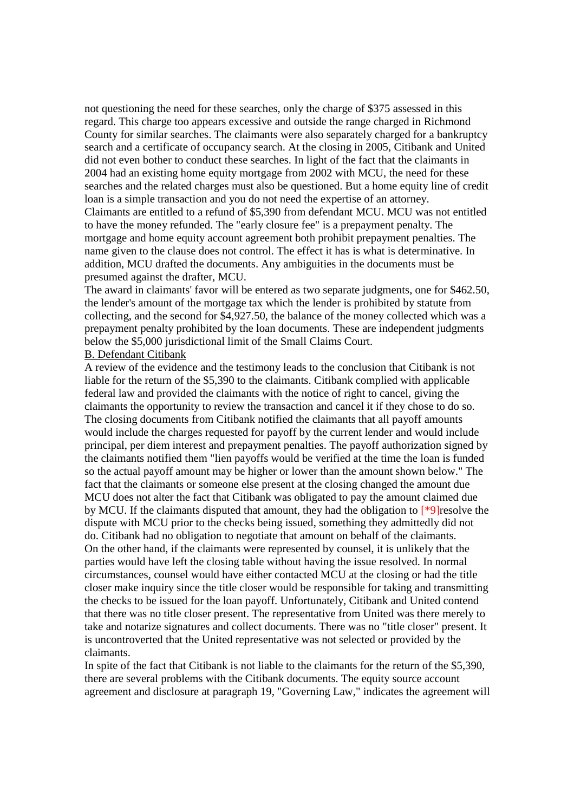not questioning the need for these searches, only the charge of \$375 assessed in this regard. This charge too appears excessive and outside the range charged in Richmond County for similar searches. The claimants were also separately charged for a bankruptcy search and a certificate of occupancy search. At the closing in 2005, Citibank and United did not even bother to conduct these searches. In light of the fact that the claimants in 2004 had an existing home equity mortgage from 2002 with MCU, the need for these searches and the related charges must also be questioned. But a home equity line of credit loan is a simple transaction and you do not need the expertise of an attorney. Claimants are entitled to a refund of \$5,390 from defendant MCU. MCU was not entitled to have the money refunded. The "early closure fee" is a prepayment penalty. The mortgage and home equity account agreement both prohibit prepayment penalties. The name given to the clause does not control. The effect it has is what is determinative. In addition, MCU drafted the documents. Any ambiguities in the documents must be presumed against the drafter, MCU.

The award in claimants' favor will be entered as two separate judgments, one for \$462.50, the lender's amount of the mortgage tax which the lender is prohibited by statute from collecting, and the second for \$4,927.50, the balance of the money collected which was a prepayment penalty prohibited by the loan documents. These are independent judgments below the \$5,000 jurisdictional limit of the Small Claims Court.

# B. Defendant Citibank

A review of the evidence and the testimony leads to the conclusion that Citibank is not liable for the return of the \$5,390 to the claimants. Citibank complied with applicable federal law and provided the claimants with the notice of right to cancel, giving the claimants the opportunity to review the transaction and cancel it if they chose to do so. The closing documents from Citibank notified the claimants that all payoff amounts would include the charges requested for payoff by the current lender and would include principal, per diem interest and prepayment penalties. The payoff authorization signed by the claimants notified them "lien payoffs would be verified at the time the loan is funded so the actual payoff amount may be higher or lower than the amount shown below." The fact that the claimants or someone else present at the closing changed the amount due MCU does not alter the fact that Citibank was obligated to pay the amount claimed due by MCU. If the claimants disputed that amount, they had the obligation to [\*9]resolve the dispute with MCU prior to the checks being issued, something they admittedly did not do. Citibank had no obligation to negotiate that amount on behalf of the claimants. On the other hand, if the claimants were represented by counsel, it is unlikely that the parties would have left the closing table without having the issue resolved. In normal circumstances, counsel would have either contacted MCU at the closing or had the title closer make inquiry since the title closer would be responsible for taking and transmitting the checks to be issued for the loan payoff. Unfortunately, Citibank and United contend that there was no title closer present. The representative from United was there merely to take and notarize signatures and collect documents. There was no "title closer" present. It is uncontroverted that the United representative was not selected or provided by the claimants.

In spite of the fact that Citibank is not liable to the claimants for the return of the \$5,390, there are several problems with the Citibank documents. The equity source account agreement and disclosure at paragraph 19, "Governing Law," indicates the agreement will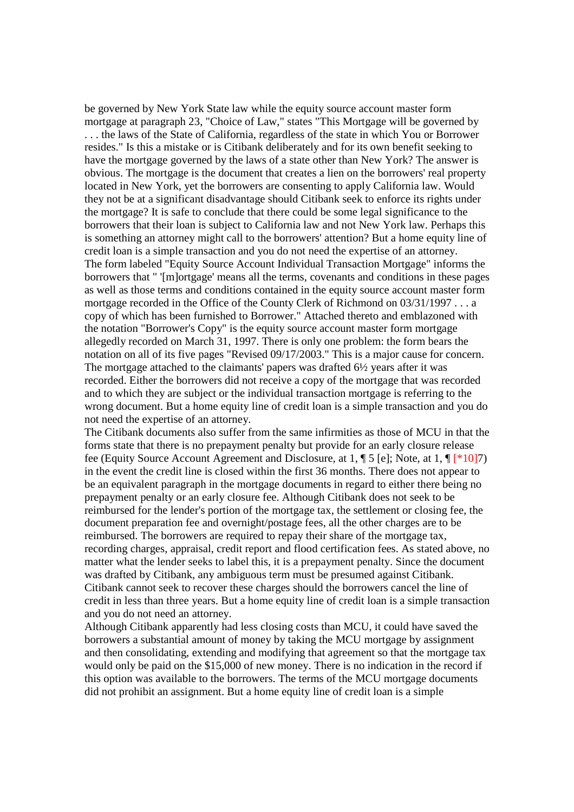be governed by New York State law while the equity source account master form mortgage at paragraph 23, "Choice of Law," states "This Mortgage will be governed by . . . the laws of the State of California, regardless of the state in which You or Borrower resides." Is this a mistake or is Citibank deliberately and for its own benefit seeking to have the mortgage governed by the laws of a state other than New York? The answer is obvious. The mortgage is the document that creates a lien on the borrowers' real property located in New York, yet the borrowers are consenting to apply California law. Would they not be at a significant disadvantage should Citibank seek to enforce its rights under the mortgage? It is safe to conclude that there could be some legal significance to the borrowers that their loan is subject to California law and not New York law. Perhaps this is something an attorney might call to the borrowers' attention? But a home equity line of credit loan is a simple transaction and you do not need the expertise of an attorney. The form labeled "Equity Source Account Individual Transaction Mortgage" informs the borrowers that " '[m]ortgage' means all the terms, covenants and conditions in these pages as well as those terms and conditions contained in the equity source account master form mortgage recorded in the Office of the County Clerk of Richmond on 03/31/1997 . . . a copy of which has been furnished to Borrower." Attached thereto and emblazoned with the notation "Borrower's Copy" is the equity source account master form mortgage allegedly recorded on March 31, 1997. There is only one problem: the form bears the notation on all of its five pages "Revised 09/17/2003." This is a major cause for concern. The mortgage attached to the claimants' papers was drafted 6½ years after it was recorded. Either the borrowers did not receive a copy of the mortgage that was recorded and to which they are subject or the individual transaction mortgage is referring to the wrong document. But a home equity line of credit loan is a simple transaction and you do not need the expertise of an attorney.

The Citibank documents also suffer from the same infirmities as those of MCU in that the forms state that there is no prepayment penalty but provide for an early closure release fee (Equity Source Account Agreement and Disclosure, at 1, ¶ 5 [e]; Note, at 1, ¶ [\*10]7) in the event the credit line is closed within the first 36 months. There does not appear to be an equivalent paragraph in the mortgage documents in regard to either there being no prepayment penalty or an early closure fee. Although Citibank does not seek to be reimbursed for the lender's portion of the mortgage tax, the settlement or closing fee, the document preparation fee and overnight/postage fees, all the other charges are to be reimbursed. The borrowers are required to repay their share of the mortgage tax, recording charges, appraisal, credit report and flood certification fees. As stated above, no matter what the lender seeks to label this, it is a prepayment penalty. Since the document was drafted by Citibank, any ambiguous term must be presumed against Citibank. Citibank cannot seek to recover these charges should the borrowers cancel the line of credit in less than three years. But a home equity line of credit loan is a simple transaction and you do not need an attorney.

Although Citibank apparently had less closing costs than MCU, it could have saved the borrowers a substantial amount of money by taking the MCU mortgage by assignment and then consolidating, extending and modifying that agreement so that the mortgage tax would only be paid on the \$15,000 of new money. There is no indication in the record if this option was available to the borrowers. The terms of the MCU mortgage documents did not prohibit an assignment. But a home equity line of credit loan is a simple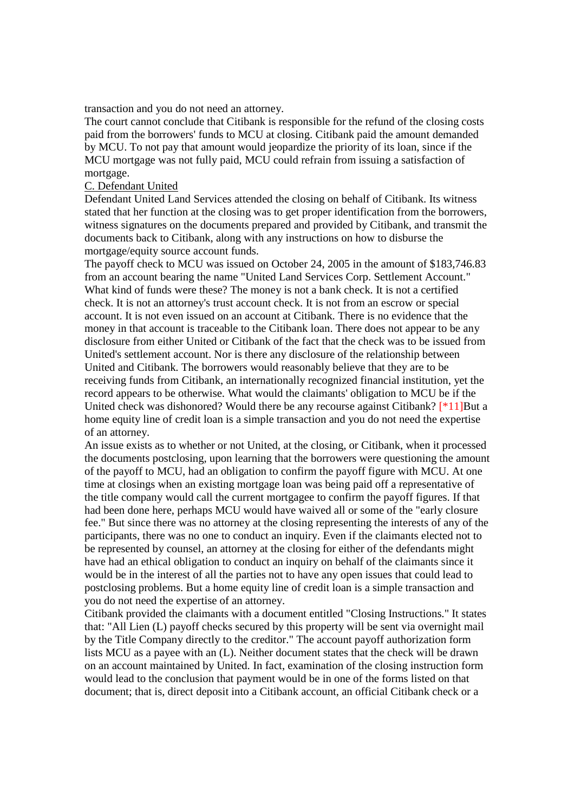transaction and you do not need an attorney.

The court cannot conclude that Citibank is responsible for the refund of the closing costs paid from the borrowers' funds to MCU at closing. Citibank paid the amount demanded by MCU. To not pay that amount would jeopardize the priority of its loan, since if the MCU mortgage was not fully paid, MCU could refrain from issuing a satisfaction of mortgage.

## C. Defendant United

Defendant United Land Services attended the closing on behalf of Citibank. Its witness stated that her function at the closing was to get proper identification from the borrowers, witness signatures on the documents prepared and provided by Citibank, and transmit the documents back to Citibank, along with any instructions on how to disburse the mortgage/equity source account funds.

The payoff check to MCU was issued on October 24, 2005 in the amount of \$183,746.83 from an account bearing the name "United Land Services Corp. Settlement Account." What kind of funds were these? The money is not a bank check. It is not a certified check. It is not an attorney's trust account check. It is not from an escrow or special account. It is not even issued on an account at Citibank. There is no evidence that the money in that account is traceable to the Citibank loan. There does not appear to be any disclosure from either United or Citibank of the fact that the check was to be issued from United's settlement account. Nor is there any disclosure of the relationship between United and Citibank. The borrowers would reasonably believe that they are to be receiving funds from Citibank, an internationally recognized financial institution, yet the record appears to be otherwise. What would the claimants' obligation to MCU be if the United check was dishonored? Would there be any recourse against Citibank? [\*11]But a home equity line of credit loan is a simple transaction and you do not need the expertise of an attorney.

An issue exists as to whether or not United, at the closing, or Citibank, when it processed the documents postclosing, upon learning that the borrowers were questioning the amount of the payoff to MCU, had an obligation to confirm the payoff figure with MCU. At one time at closings when an existing mortgage loan was being paid off a representative of the title company would call the current mortgagee to confirm the payoff figures. If that had been done here, perhaps MCU would have waived all or some of the "early closure fee." But since there was no attorney at the closing representing the interests of any of the participants, there was no one to conduct an inquiry. Even if the claimants elected not to be represented by counsel, an attorney at the closing for either of the defendants might have had an ethical obligation to conduct an inquiry on behalf of the claimants since it would be in the interest of all the parties not to have any open issues that could lead to postclosing problems. But a home equity line of credit loan is a simple transaction and you do not need the expertise of an attorney.

Citibank provided the claimants with a document entitled "Closing Instructions." It states that: "All Lien (L) payoff checks secured by this property will be sent via overnight mail by the Title Company directly to the creditor." The account payoff authorization form lists MCU as a payee with an (L). Neither document states that the check will be drawn on an account maintained by United. In fact, examination of the closing instruction form would lead to the conclusion that payment would be in one of the forms listed on that document; that is, direct deposit into a Citibank account, an official Citibank check or a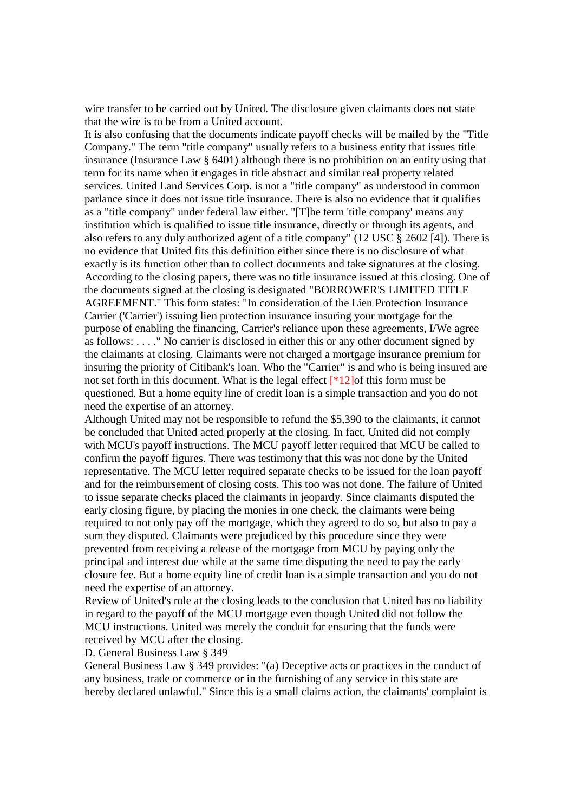wire transfer to be carried out by United. The disclosure given claimants does not state that the wire is to be from a United account.

It is also confusing that the documents indicate payoff checks will be mailed by the "Title Company." The term "title company" usually refers to a business entity that issues title insurance (Insurance Law § 6401) although there is no prohibition on an entity using that term for its name when it engages in title abstract and similar real property related services. United Land Services Corp. is not a "title company" as understood in common parlance since it does not issue title insurance. There is also no evidence that it qualifies as a "title company" under federal law either. "[T]he term 'title company' means any institution which is qualified to issue title insurance, directly or through its agents, and also refers to any duly authorized agent of a title company" (12 USC § 2602 [4]). There is no evidence that United fits this definition either since there is no disclosure of what exactly is its function other than to collect documents and take signatures at the closing. According to the closing papers, there was no title insurance issued at this closing. One of the documents signed at the closing is designated "BORROWER'S LIMITED TITLE AGREEMENT." This form states: "In consideration of the Lien Protection Insurance Carrier ('Carrier') issuing lien protection insurance insuring your mortgage for the purpose of enabling the financing, Carrier's reliance upon these agreements, I/We agree as follows: . . . ." No carrier is disclosed in either this or any other document signed by the claimants at closing. Claimants were not charged a mortgage insurance premium for insuring the priority of Citibank's loan. Who the "Carrier" is and who is being insured are not set forth in this document. What is the legal effect [\*12]of this form must be questioned. But a home equity line of credit loan is a simple transaction and you do not need the expertise of an attorney.

Although United may not be responsible to refund the \$5,390 to the claimants, it cannot be concluded that United acted properly at the closing. In fact, United did not comply with MCU's payoff instructions. The MCU payoff letter required that MCU be called to confirm the payoff figures. There was testimony that this was not done by the United representative. The MCU letter required separate checks to be issued for the loan payoff and for the reimbursement of closing costs. This too was not done. The failure of United to issue separate checks placed the claimants in jeopardy. Since claimants disputed the early closing figure, by placing the monies in one check, the claimants were being required to not only pay off the mortgage, which they agreed to do so, but also to pay a sum they disputed. Claimants were prejudiced by this procedure since they were prevented from receiving a release of the mortgage from MCU by paying only the principal and interest due while at the same time disputing the need to pay the early closure fee. But a home equity line of credit loan is a simple transaction and you do not need the expertise of an attorney.

Review of United's role at the closing leads to the conclusion that United has no liability in regard to the payoff of the MCU mortgage even though United did not follow the MCU instructions. United was merely the conduit for ensuring that the funds were received by MCU after the closing.

#### D. General Business Law § 349

General Business Law § 349 provides: "(a) Deceptive acts or practices in the conduct of any business, trade or commerce or in the furnishing of any service in this state are hereby declared unlawful." Since this is a small claims action, the claimants' complaint is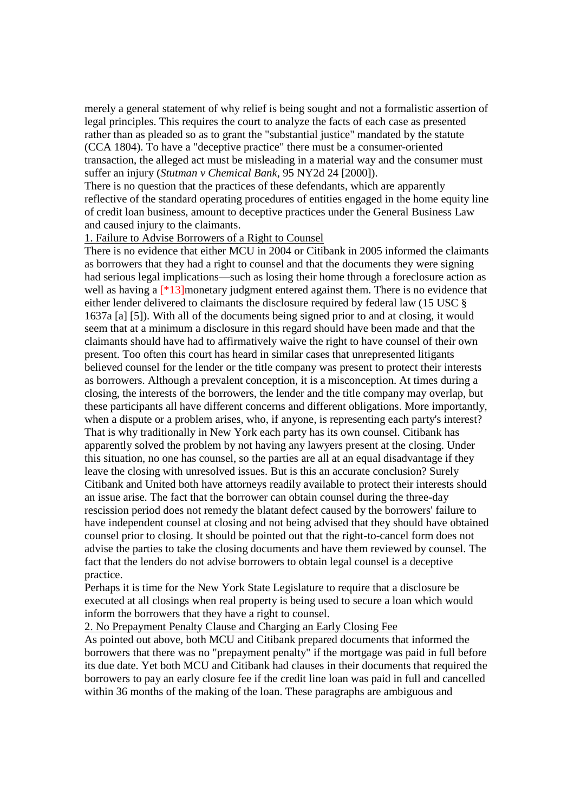merely a general statement of why relief is being sought and not a formalistic assertion of legal principles. This requires the court to analyze the facts of each case as presented rather than as pleaded so as to grant the "substantial justice" mandated by the statute (CCA 1804). To have a "deceptive practice" there must be a consumer-oriented transaction, the alleged act must be misleading in a material way and the consumer must suffer an injury (*Stutman v Chemical Bank*, 95 NY2d 24 [2000]).

There is no question that the practices of these defendants, which are apparently reflective of the standard operating procedures of entities engaged in the home equity line of credit loan business, amount to deceptive practices under the General Business Law and caused injury to the claimants.

### 1. Failure to Advise Borrowers of a Right to Counsel

There is no evidence that either MCU in 2004 or Citibank in 2005 informed the claimants as borrowers that they had a right to counsel and that the documents they were signing had serious legal implications—such as losing their home through a foreclosure action as well as having a  $[*13]$ monetary judgment entered against them. There is no evidence that either lender delivered to claimants the disclosure required by federal law (15 USC § 1637a [a] [5]). With all of the documents being signed prior to and at closing, it would seem that at a minimum a disclosure in this regard should have been made and that the claimants should have had to affirmatively waive the right to have counsel of their own present. Too often this court has heard in similar cases that unrepresented litigants believed counsel for the lender or the title company was present to protect their interests as borrowers. Although a prevalent conception, it is a misconception. At times during a closing, the interests of the borrowers, the lender and the title company may overlap, but these participants all have different concerns and different obligations. More importantly, when a dispute or a problem arises, who, if anyone, is representing each party's interest? That is why traditionally in New York each party has its own counsel. Citibank has apparently solved the problem by not having any lawyers present at the closing. Under this situation, no one has counsel, so the parties are all at an equal disadvantage if they leave the closing with unresolved issues. But is this an accurate conclusion? Surely Citibank and United both have attorneys readily available to protect their interests should an issue arise. The fact that the borrower can obtain counsel during the three-day rescission period does not remedy the blatant defect caused by the borrowers' failure to have independent counsel at closing and not being advised that they should have obtained counsel prior to closing. It should be pointed out that the right-to-cancel form does not advise the parties to take the closing documents and have them reviewed by counsel. The fact that the lenders do not advise borrowers to obtain legal counsel is a deceptive practice.

Perhaps it is time for the New York State Legislature to require that a disclosure be executed at all closings when real property is being used to secure a loan which would inform the borrowers that they have a right to counsel.

2. No Prepayment Penalty Clause and Charging an Early Closing Fee

As pointed out above, both MCU and Citibank prepared documents that informed the borrowers that there was no "prepayment penalty" if the mortgage was paid in full before its due date. Yet both MCU and Citibank had clauses in their documents that required the borrowers to pay an early closure fee if the credit line loan was paid in full and cancelled within 36 months of the making of the loan. These paragraphs are ambiguous and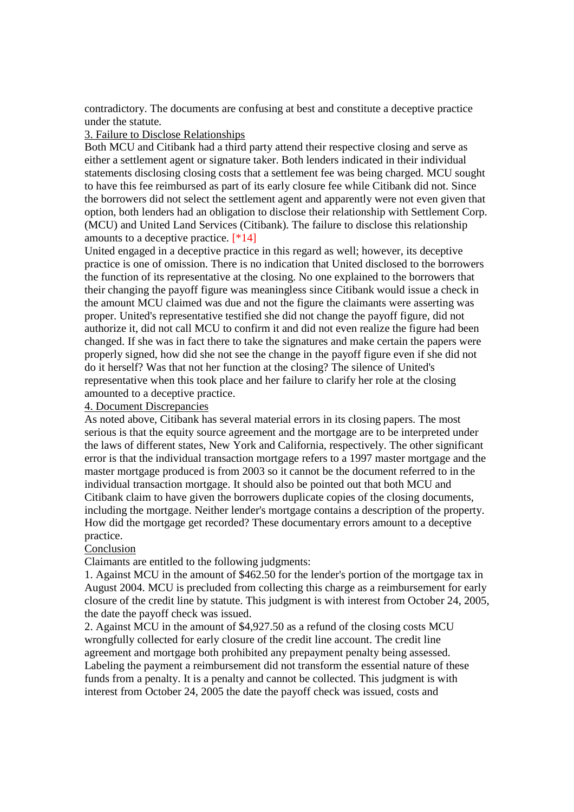contradictory. The documents are confusing at best and constitute a deceptive practice under the statute.

### 3. Failure to Disclose Relationships

Both MCU and Citibank had a third party attend their respective closing and serve as either a settlement agent or signature taker. Both lenders indicated in their individual statements disclosing closing costs that a settlement fee was being charged. MCU sought to have this fee reimbursed as part of its early closure fee while Citibank did not. Since the borrowers did not select the settlement agent and apparently were not even given that option, both lenders had an obligation to disclose their relationship with Settlement Corp. (MCU) and United Land Services (Citibank). The failure to disclose this relationship amounts to a deceptive practice. [\*14]

United engaged in a deceptive practice in this regard as well; however, its deceptive practice is one of omission. There is no indication that United disclosed to the borrowers the function of its representative at the closing. No one explained to the borrowers that their changing the payoff figure was meaningless since Citibank would issue a check in the amount MCU claimed was due and not the figure the claimants were asserting was proper. United's representative testified she did not change the payoff figure, did not authorize it, did not call MCU to confirm it and did not even realize the figure had been changed. If she was in fact there to take the signatures and make certain the papers were properly signed, how did she not see the change in the payoff figure even if she did not do it herself? Was that not her function at the closing? The silence of United's representative when this took place and her failure to clarify her role at the closing amounted to a deceptive practice.

## 4. Document Discrepancies

As noted above, Citibank has several material errors in its closing papers. The most serious is that the equity source agreement and the mortgage are to be interpreted under the laws of different states, New York and California, respectively. The other significant error is that the individual transaction mortgage refers to a 1997 master mortgage and the master mortgage produced is from 2003 so it cannot be the document referred to in the individual transaction mortgage. It should also be pointed out that both MCU and Citibank claim to have given the borrowers duplicate copies of the closing documents, including the mortgage. Neither lender's mortgage contains a description of the property. How did the mortgage get recorded? These documentary errors amount to a deceptive practice.

## Conclusion

Claimants are entitled to the following judgments:

1. Against MCU in the amount of \$462.50 for the lender's portion of the mortgage tax in August 2004. MCU is precluded from collecting this charge as a reimbursement for early closure of the credit line by statute. This judgment is with interest from October 24, 2005, the date the payoff check was issued.

2. Against MCU in the amount of \$4,927.50 as a refund of the closing costs MCU wrongfully collected for early closure of the credit line account. The credit line agreement and mortgage both prohibited any prepayment penalty being assessed. Labeling the payment a reimbursement did not transform the essential nature of these funds from a penalty. It is a penalty and cannot be collected. This judgment is with interest from October 24, 2005 the date the payoff check was issued, costs and